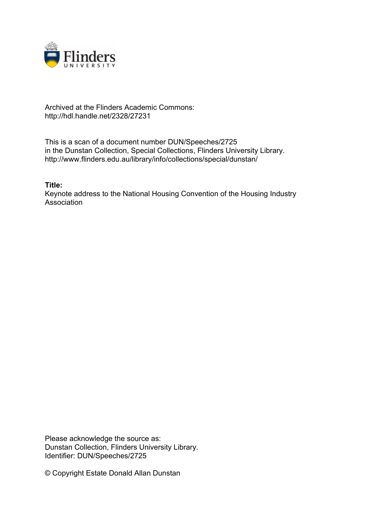

## Archived at the Flinders Academic Commons: http://hdl.handle.net/2328/27231

This is a scan of a document number DUN/Speeches/2725 in the Dunstan Collection, Special Collections, Flinders University Library. http://www.flinders.edu.au/library/info/collections/special/dunstan/

**Title:**

Keynote address to the National Housing Convention of the Housing Industry **Association** 

Please acknowledge the source as: Dunstan Collection, Flinders University Library. Identifier: DUN/Speeches/2725

© Copyright Estate Donald Allan Dunstan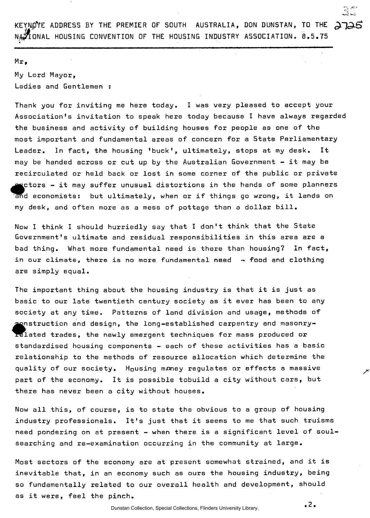KEYNOTE ADDRESS BY THE PREMIER OF SOUTH AUSTRALIA, DON DUNSTAN, TO THE NATIONAL HOUSING CONVENTION OF THE HOUSING INDUSTRY ASSOCIATION. 8.5.75

## Mr,

My Lord Mayor, Ladies and Gentlemen :

Thank you for inviting me here today. I was very pleased to accept your Association's invitation to speak here today because I have always regarded the business and activity of building houses for people as one of the most important and fundamental areas of concern for a State Parliamentary Leader. In fact, the housing 'buck', ultimately, stops at my desk. It may be handed across or cut up by the Australian Government - it may be recirculated or held back or lost in some corner of the public or private  $\bullet$  ctors  $\bullet$  it may suffer unusual distortions in the hands of some planners and economists: but ultimately, when or if things go wrong, it lands on my desk, and often more as a mess of pottage than a dollar bill.

Now I think I should hurriedly say that I don't think that the State Government's ultimate and residual responsibilities in this area are a bad thing. What more fundamental need is there than housing? In fact, in our climate, there is no more fundamental need  $\rightarrow$  food and clothing are simply equal.

The important thing about the housing industry is that it is just as basic to our late twentieth century society as it ever has been to any society at any time. Patterns of land division and usage, methods of fel nstruction and design, the long-established carpentry and masonrylated trades, the newly emergent techniques for mass produced or standardised housing components - each of these activities has a basic relationship to the methods of resource allocation which determine the quality of our society. Housing money regulates or effects a massive part of the economy. It is possible tobuild a city without cars, but there has never been a city without houses.

Now all this, of course, is to state the obvious to a group of housing industry professionals. It's just that it seems to me that such truisms need pondering on at present - when there is a significant level of soulsearching and re-examination occurring in the community at large.

Most sectors of the economy are at present somewhat strained, and it is inevitable that, in an economy such as ours the housing industry, being so fundamentally related to our overall health and development, should as it were, feel the pinch.

*4.2.*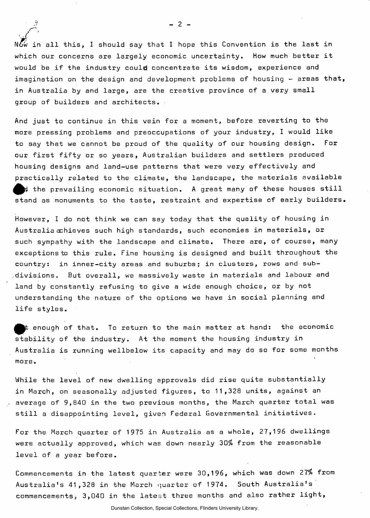$N\tilde{G}\omega$  in all this, I should say that I hope this Convention is the last in which our concerns are largely economic uncertainty. How much better it would be if the industry could concentrate its wisdom, experience and imagination on the design and development problems of housing  $-$  areas that, in Australia by and large, are the creative province of a very small group of builders and architects.

And just to continue in this vein for a moment, before reverting to the more pressing problems and preoccupations of your industry, I would like to say that we cannot be proud of the quality of our housing design. For our first fifty or so years, Australian builders and settlers produced housing designs and land-use patterns that were very effectively and practically related to the climate, the landscape, the materials available the prevailing economic situation. A great many of these houses still stand as monuments to the taste, restraint and expertise of early builders.

However, I do not think we can say today that the quality of housing in Australia achieves such high standards, such economies in materials, or such sympathy with the landscape and climate. There are, of course, many exceptions to this rule. Fine housing is designed and built throughout the country: in inner-city areas and suburbs; in clusters, rows and sub- $\mathcal A$ divisions. But overall, we massively waste in materials and labour and land by constantly refusing to give a wide enough choice, or by not understanding the nature of the options we have in social planning and life styles.

 $\blacktriangleright$  enough of that. To return to the main matter at hand: the economic stability of the industry. At the moment the housing industry in Australia is running wellbelow its capacity and may do so for some months more.

While the level of new dwelling approvals did rise quite substantially in March, on seasonally adjusted figures, to 11,328 units, against an average of 9,840 in the two previous months, the March quarter total was still a disappointing level, given Federal Governmental initiatives.

For the March quarter of 1975 in Australia as a whole, 27,196 dwellings were actually approved, which was down nearly 30% from the reasonable level of a year before.

Commencements in the latest quarter were 30,196, which was down 27% from Australia's 41,328 in the March quarter of 1974. South Australia's commencements, 3,040 in the latest three months and also rather light,

 $- 2 -$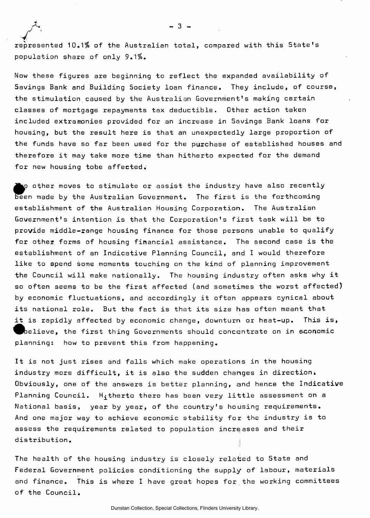ـ 3 ـ<br>represented 10.1% of the Australian total, compared with this State's<br>represented 10.1% of the Australian total, compared with this State's population share of only 9.1%.

Now these figures are beginning to reflect the expanded availability of Savings Bank and Building Society loan finance. They include, of course, the stimulation caused by the Australian Government's making certain classes of mortgage repayments tax deductible. Other action taken included extramonies provided for an increase in Savings Bank loans for housing, but the result here is that an unexpectedly large proportion of the funds have so far been used for the purchase of established houses and therefore it may take more time than hitherto expected for the demand for new housing tobe affected.

 $\wp$  other moves to stimulate or assist the industry have also recently been made by the Australian Government. The first is the forthcoming establishment of the Australian Housing Corporation. The Australian Government's intention is that the Corporation's first task will be to provide middle-range housing finance for those persons unable to qualify for other forms of housing financial assistance. The second case is the establishment of an Indicative Planning Council, and I would therefore like to spend some moments touching on the kind of planning improvement the Council will make nationally. The housing industry often asks why it so often seems to be the first affected (and sometimes the worst affected) by economic fluctuations, and accordingly it often appears cynical about its national role. But the fact is that its size has often meant that it is rapidly affected by economic change, downturn or heat-up. This is,  $\bm{b}$ elieve, the first thing Governments should concentrate on in economic planning: how to prevent this from happening.

It is not just rises and falls which make operations in the housing industry more difficult, it is also the sudden changes in direction. Obviously, one of the answers is better planning, and hence the Indicative Planning Council. H; therto there has been very little assessment on a National basis, year by year, of the country's housing requirements. And one major way to achieve economic stability for the industry is to assess the requirements related to population increases and their distribution.

The health of the housing industry is closely related to State and Federal Government policies conditioning the supply of labour, materials and finance. This is where I have great hopes for the working committees of the Council.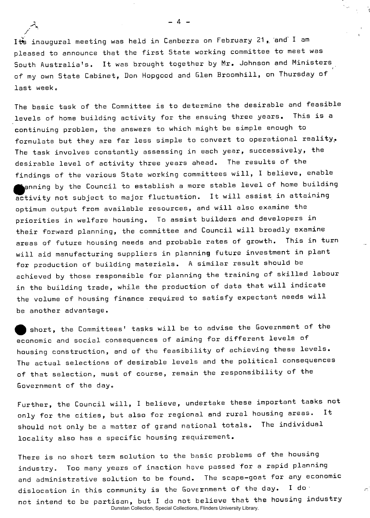/ Its inaugural meeting was held in Canberra on February 21, and I am pleased to announce that the first State working committee to meet was South Australia's. It was brought together by Mr. Johnson and Ministers of my own State Cabinet, Don Hopgood and Glen Broomhill, on Thursday of last week.

The basic task of the Committee is to determine the desirable and feasible levels of home building activity for the ensuing three years. This is a continuing problem, the answers to which might be simple enough to formulate but they are far less simple to convert to operational reality. The task involves constantly assessing in each year, successively, the desirable level of activity three years ahead. The results of the findings of the various State working committees will, I believe, enable  $\blacksquare$ anning by the Council to establish a more stable level of home building activity not subject to major fluctuation. It will assist in attaining optimum output from available resources, and will also examine the priorities in welfare housing. To assist builders and developers in their forward planning, the committee and Council will broadly examine areas of future housing needs and probable rates of growth. This in turn will aid manufacturing suppliers in planning future investment in plant for production of building materials. A similar result should be achieved by those responsible for planning the training of skilled labour in the building trade, while the production of data that will indicate the volume of housing finance required to satisfy expectant needs will be another advantage.

) short, the Committees' tasks will be to advise the Government of the economic and social consequences of aiming for different levels of housing construction, and of the feasibility of achieving these levels. The actual selections of desirable levels and the political consequences of that selection, must of course, remain the responsibility of the Government of the day.

Further, the Council will, I believe, undertake these important tasks not only for the cities, but also for regional and rural housing areas. should not only be a matter of grand national totals. The individual locality also has a specific housing requirement.

There is no short term solution to the basic problems of the housing industry. Too many years of inaction have passed for a rapid planning and administrative solution to be found. The scape-goat for any economic dislocation in this community is the Government of the day. I do not intend to be partisan, but I da not believe that the housing industry Dunstan Collection, Special Collections, Flinders University Library.

 $-4$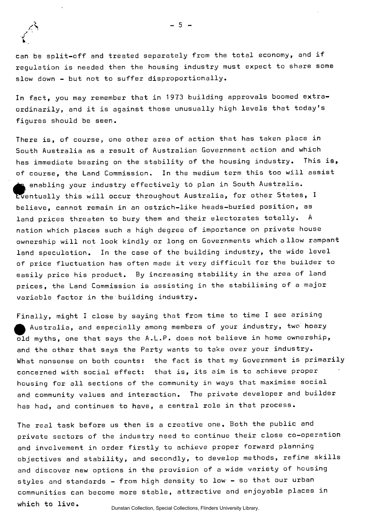

can be split-off and treated separately from the total economy, and if regulation is needed then the housing industry must expect to share some slow down - but not to suffer disproportionally.

In fact, you may remember that in 1973 building approvals boomed extraordinarily, and it is against those unusually high levels that today's figures should be seen.

There is, of course, one other area of action that has taken place in South Australia as a result of Australian Government action and which has immediate bearing on the stability of the housing industry. This is, of course, the Land Commission. In the medium term this too will assist enabling your industry effectively t6 plan in South Australia, Eventually this will occur throughout Australia, for other States, I believe, cannot remain in an ostrich-like heads-buried position, as land prices threaten to bury them and their electorates totally. A nation which places such a high degree of importance on private house ownership will not look kindly or long on Governments which allow rampant land speculation. In the case of the building industry, the wide level of price fluctuation has often made it very difficult for the builder to easily price his product. By increasing stability in the area of land prices, the Land Commission is assisting in the stabilising of a major variable factor in the building industry.

Finally, might I close by saying that from time to time I see arising Australia, and especially among members of your industry, two hoary old myths, one that says the A.L.P. does not believe in home ownership, and the other that says the Party wants to take over your industry. What nonsense on both counts: the fact is that my Government is primarily concerned with social effect: that is, its aim is to achieve proper housing for all sections of the community in ways that maximise social and community values and interaction. The private developer and builder has had, and continues to have, a central role in that process.

The real task before us then is a creative one. Both the public and private sectors of the industry need to continue their close co-operation and involvement in order firstly to achieve proper forward planning objectives and stability, and secondly, to develop methods, refine skills and discover new options in the provision of a wide variety of housing styles and standards - from high density to low - so that our urban communities can become more stable, attractive and enjoyable places in which to live.

Dunstan Collection, Special Collections, Flinders University Library.

 $\mathcal{A}$  -defined by the set of the set of the set of the set of the set of the set of the set of the set of the set of the set of the set of the set of the set of the set of the set of the set of the set of the set of th  $5 -$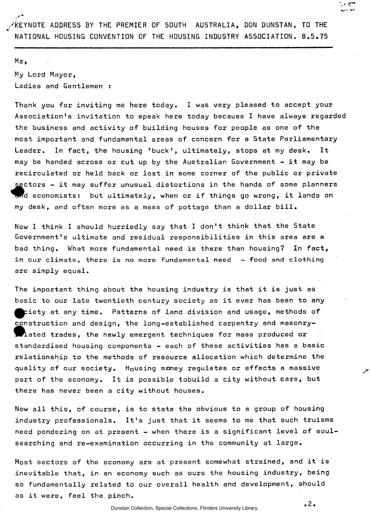$Mr_{\bullet}$ My Lord Mayor, Ladies and Gentlemen :

Thank you for inviting me here today. I was very pleased to accept your Association's invitation to speak here today because I have always regarded the business and activity of building houses for people as one of the most important and fundamental areas of concern for a State Parliamentary Leader. In fact, the housing 'buck', ultimately, stops at my desk. It may be handed across or cut up by the Australian Government  $-$  it may be recirculated or held back or lost in some corner of the public or private sectors – it may suffer unusual distortions in the hands of some planners<br>and economists: but ultimately, when or if things go wrong, it lands on sectors - it may suffer unusual distortions in the hands of some planners my desk, and often more as a mess of pottage than a dollar bill.

Now I think I should hurriedly say that I don't think that the State Government's ultimate and residual responsibilities in this area are a bad thing. What more fundamental need is there than housing? In fact, in our climate, there is no more fundamental need  $\sim$  food and clothing are simply equal.

The important thing about the housing industry is that it is just as basic to our late twentieth century society as it ever has been to any  $\bullet$  piety at any time. Patterns of land division and usage, methods of construction and design, the long-established carpentry and masonry- $\blacksquare$  lated trades, the newly emergent techniques for mass produced or standardised housing components - each of these activities has a basic relationship to the methods of resource allocation which determine the quality of our society. Housing money regulates or effects a massive part of the economy. It is possible tobuild a city without cars, but there has never been a city without houses.

Now all this, of course, is to state the obvious to a group of housing industry professionals. It's just that it seems to me that such truisms need pondering on at present - when there is a significant level of soulsearching and re-examination occurring in the community at large.

Most sectors of the economy are at present somewhat strained, and it is inevitable that, in an economy such as ours the housing industry, being so fundamentally related to our overall health and development, should as it were, feel the pinch.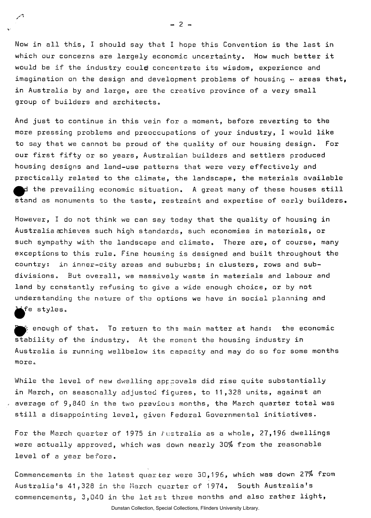Now in all this, I should say that I hope this Convention is the last in which our concerns are largely economic uncertainty. How much better it would be if the industry could concentrate its wisdom, experience and imagination on the design and development problems of housing  $\cdot$  areas that, in Australia by and large, are the creative province of a very small group of builders and architects,,

And just to continue in this vein for a moment, before reverting to the more pressing problems and preoccupations of your industry, I would like to say that we cannot be proud of the quality of our housing design. For our first fifty or so years, Australian builders and settlers produced housing designs and land-use patterns that were very effectively and practically related to the climate, the landscape, the materials available  $\bm{\mu}$  the prevailing economic situation. A great many of these houses still stand as monuments to the taste, restraint and expertise of early builders.

However, I do not think we can say today that the quality of housing in Australia achieves such high standards, such economies in materials, or such sympathy with the landscape and climate. There are, of course, many exceptions to this rule. Fine housing is designed and built throughout the country: in inner-city areas and suburbs; in clusters, rows and subdivisions, But overall, we massively waste in materials and labour and land by constantly refusing to give a wide enough choice, or by not understanding the nature of t'ns options we have in social planning and  $\blacktriangleright$ fe styles.

 $\blacktriangleright$  enough of that. To return to the main matter at hand:  $\;$  the economic stability of the industry. At the moment the housing industry in Australia, is running wellbelow its capacity and may do so for some months more.

While the level of new dwelling approvals did rise quite substantially in March, on seasonally adjusted figures, to 11,328 units, against an  $\sim$  average of 9,840 in the two pravious months, the March quarter total was still a disappointing level, given Federal Governmental initiatives.

For the March quarter of 1975 in  $F$ ustralia as a whole, 27,196 dwellings were actually approved, which was down nearly 30% from the reasonable level of a year before.

Commencements in the latest quarter were 30,196, which was down 27% from Australia's 41,328 in the March quarter of 1974. South Australia's commencements, 3,040 in the latest three months and also rather light,

 $-2 -$ 

À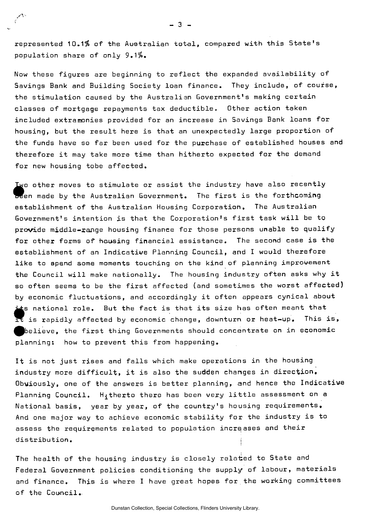represented 10.1% of the Australian total, compared with this State's population share of only 9.1%.

Now these figures are beginning to reflect the expanded availability of Savings Bank and Building Society loan finance. They include, of course, the stimulation caused by the Australian Government's making certain classes of mortgage repayments tax deductible. Other action taken included extramonies provided for an increase in Savings Bank loans for housing, but the result here is that an unexpectedly large proportion of the funds have so far been used for the purchase of established houses and therefore it may take more time than hitherto expected for the demand for new housing tobe affected.

Iwo other moves to stimulate or assist the industry have also recently been made by the Australian Government. The first is the forthcoming establishment of the Australian Housing Corporation. The Australian Government's intention is that the Corporation's first task will be to provide middle-range housing finance for those persons unable to qualify for other forms of housing financial assistance. The second case is the establishment of an Indicative Planning Council, and I would therefore like to spend some moments touching on the kind of planning improvement the Council will make nationally. The housing industry often asks why it so often seems to be the first affected (and sometimes the worst affected) by economic fluctuations, and accordingly it often appears cynical about its national role. But the fact is that its size has often meant that<br>It is rapidly affected by economic change, downturn or heat-up. This i is rapidly affected by economic change, downturn or heat-up. This is,  $\blacktriangleright$ elieve, the first thing Governments should concentrate on in economic planning: how to prevent this from happening.

It is not just rises and falls which make operations in the housing industry more difficult, it is also the sudden changes in direction. Obviously, one of the answers is better planning, and hence the Indicative Planning Council.  $H_1$ therto there has been very little assessment on a National basis, year by year, of the country's housing requirements. And one major way to achieve economic stability for the industry is to assess the requirements related to population increases and their distribution. |

The health of the housing industry is closely related to State and Federal Government policies conditioning the supply of labour, materials and finance. This is where I have great hopes for the working committees of the Council..

 $-3 -$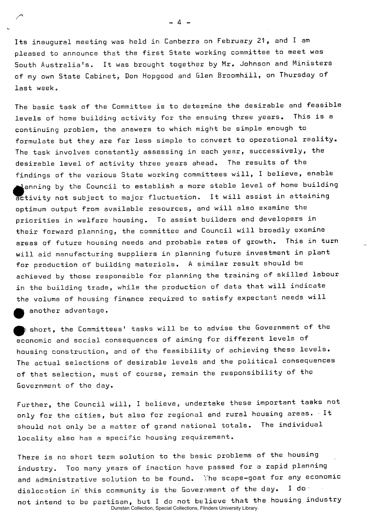Its inaugural meeting was held in Canberra on February 21, and I am pleased to announce that the first State working committee to meet was South Australia's. It was brought together by Mr. Johnson and Ministers of my own State Cabinet;, Don Hopgood and Glen Broomhill, on Thursday of last week.

The basic task of the Committee is to determine the desirable and feasible levels of home building activity for the ensuing three years. This is a continuing problem, the answers to which might be simple enough to formulate but they are far less simple to convert to operational reality. The task involves constantly assessing in each year, successively, the desirable level of activity three years ahead. The results of the findings of the various State working committees will, I believe, enable  $\blacksquare$ anning by the Council to establish a more stable level of home building activity not subject to major fluctuation. It will assist in attaining optimum output from available resources, and will also examine the priorities in welfare housing. To assist builders and developers in their forward planning, the committee and Council will broadly examine areas of future housing needs and probable rates of growth. This in turn will aid manufacturing suppliers in planning future investment in plant for production of building materials. A similar result should be achieved by those responsible for planning the training of skilled labour in the building trade, while the production of data that will indicate the volume of housing finance required to satisfy expectant needs will another advantage.

 $\quad$  short, the Committees' tasks will be to advise the Government of the economic and social consequences of aiming for different levels of housing construction, and of the feasibility of achieving these levels. The actual selections of desirable levels and the political consequences of that selection, must of course, remain the responsibility of the Government of the day.

Further, the Council will, I believe, undertake these important tasks not only for the cities, but also for regional and rural housing areas. It should not only be a matter of grand national totals. The individual locality also has a specific housing requirement.

There is no short term solution to the basic problems of the housing industry. Too many years of inaction have passed for a rapid planning and administrative solution to be found. The scape-goat for any economic dislocation in this community is the Government of the day. I do not intend to be partisan, but I do not believe that the housing industry Dunstan Collection, Special Collections, Flinders University Library.

- 4 -